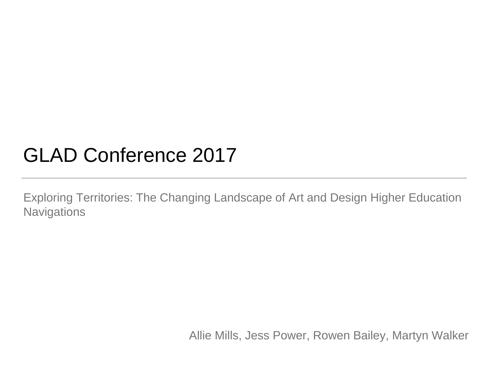### GLAD Conference 2017

Exploring Territories: The Changing Landscape of Art and Design Higher Education **Navigations** 

Allie Mills, Jess Power, Rowen Bailey, Martyn Walker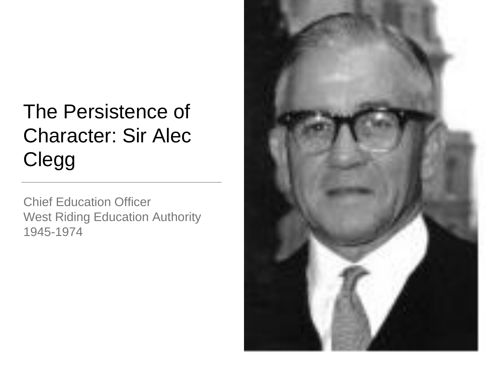# The Persistence of Character: Sir Alec **Clegg**

Chief Education Officer West Riding Education Authority 1945-1974

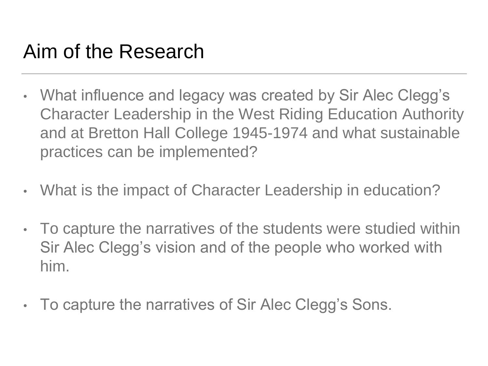### Aim of the Research

- What influence and legacy was created by Sir Alec Clegg's Character Leadership in the West Riding Education Authority and at Bretton Hall College 1945-1974 and what sustainable practices can be implemented?
- What is the impact of Character Leadership in education?
- To capture the narratives of the students were studied within Sir Alec Clegg's vision and of the people who worked with him.
- To capture the narratives of Sir Alec Clegg's Sons.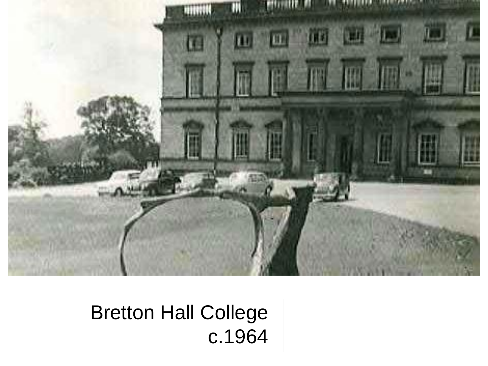

## Bretton Hall College c.1964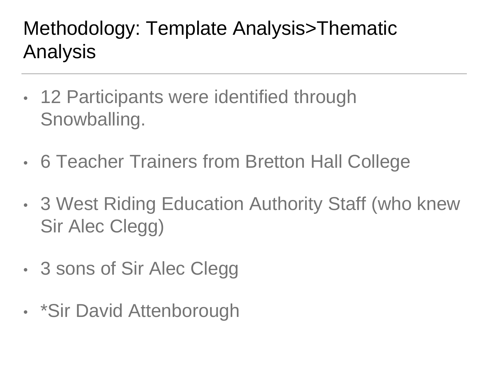## Methodology: Template Analysis>Thematic Analysis

- 12 Participants were identified through Snowballing.
- 6 Teacher Trainers from Bretton Hall College
- 3 West Riding Education Authority Staff (who knew Sir Alec Clegg)
- 3 sons of Sir Alec Clegg
- \*Sir David Attenborough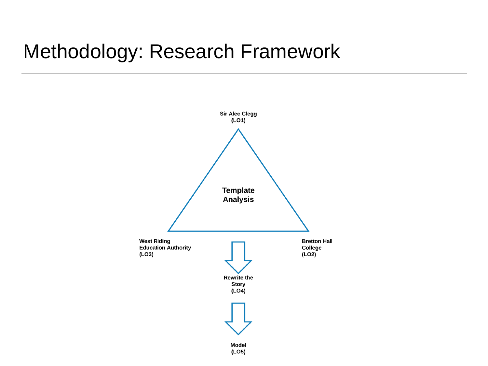#### Methodology: Research Framework

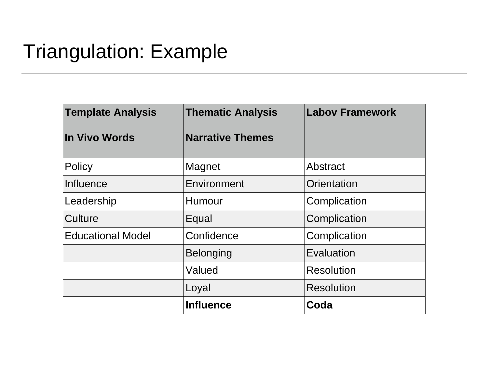### Triangulation: Example

| <b>Template Analysis</b> | <b>Thematic Analysis</b> | <b>Labov Framework</b> |
|--------------------------|--------------------------|------------------------|
| <b>In Vivo Words</b>     | <b>Narrative Themes</b>  |                        |
| Policy                   | Magnet                   | <b>Abstract</b>        |
| Influence                | <b>Environment</b>       | Orientation            |
| Leadership               | Humour                   | Complication           |
| Culture                  | Equal                    | Complication           |
| <b>Educational Model</b> | Confidence               | Complication           |
|                          | <b>Belonging</b>         | Evaluation             |
|                          | Valued                   | <b>Resolution</b>      |
|                          | Loyal                    | <b>Resolution</b>      |
|                          | <b>Influence</b>         | Coda                   |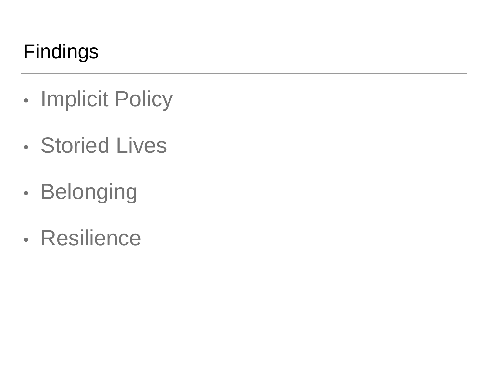## Findings

- Implicit Policy
- Storied Lives
- Belonging
- Resilience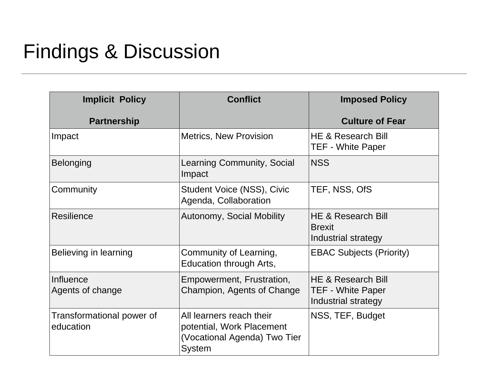#### Findings & Discussion

| <b>Implicit Policy</b>                 | <b>Conflict</b>                                                                                        | <b>Imposed Policy</b>                                                 |
|----------------------------------------|--------------------------------------------------------------------------------------------------------|-----------------------------------------------------------------------|
| <b>Partnership</b>                     |                                                                                                        | <b>Culture of Fear</b>                                                |
| Impact                                 | <b>Metrics, New Provision</b>                                                                          | HE & Research Bill<br><b>TEF - White Paper</b>                        |
| <b>Belonging</b>                       | Learning Community, Social<br>Impact                                                                   | <b>NSS</b>                                                            |
| Community                              | <b>Student Voice (NSS), Civic</b><br>Agenda, Collaboration                                             | TEF, NSS, OfS                                                         |
| <b>Resilience</b>                      | <b>Autonomy, Social Mobility</b>                                                                       | HE & Research Bill<br><b>Brexit</b><br>Industrial strategy            |
| Believing in learning                  | Community of Learning,<br>Education through Arts,                                                      | <b>EBAC Subjects (Priority)</b>                                       |
| Influence<br>Agents of change          | Empowerment, Frustration,<br>Champion, Agents of Change                                                | HE & Research Bill<br><b>TEF - White Paper</b><br>Industrial strategy |
| Transformational power of<br>education | All learners reach their<br>potential, Work Placement<br>(Vocational Agenda) Two Tier<br><b>System</b> | NSS, TEF, Budget                                                      |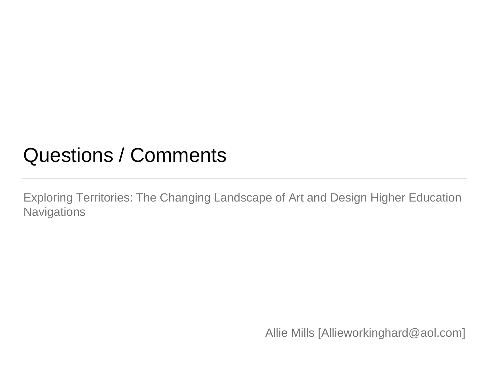#### Questions / Comments

Exploring Territories: The Changing Landscape of Art and Design Higher Education **Navigations** 

Allie Mills [Allieworkinghard@aol.com]